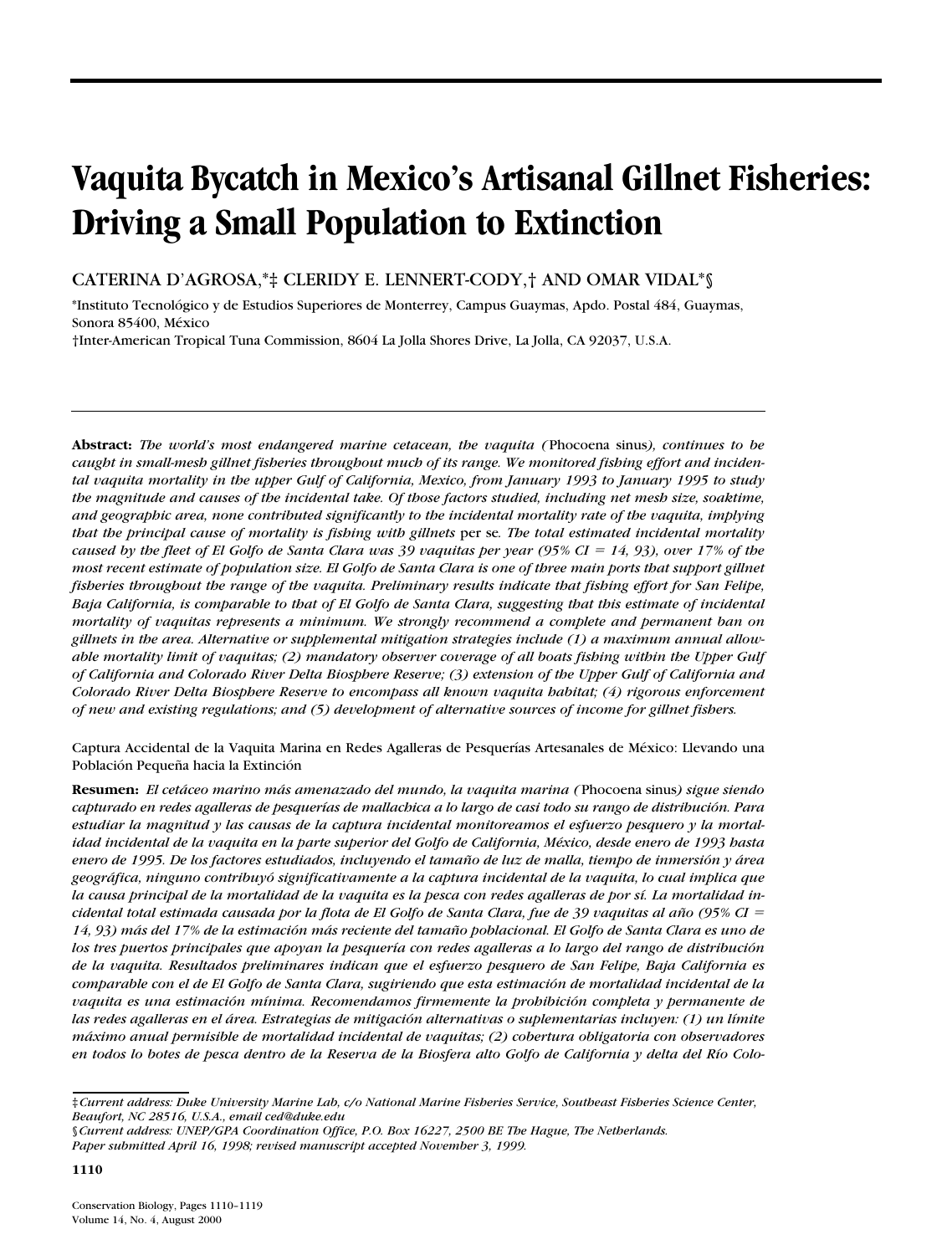# **Vaquita Bycatch in Mexico's Artisanal Gillnet Fisheries: Driving a Small Population to Extinction**

CATERINA D'AGROSA,\*‡ CLERIDY E. LENNERT-CODY,† AND OMAR VIDAL\*§

\*Instituto Tecnológico y de Estudios Superiores de Monterrey, Campus Guaymas, Apdo. Postal 484, Guaymas, Sonora 85400, México

†Inter-American Tropical Tuna Commission, 8604 La Jolla Shores Drive, La Jolla, CA 92037, U.S.A.

**Abstract:** *The world's most endangered marine cetacean, the vaquita (* Phocoena sinus*), continues to be caught in small-mesh gillnet fisheries throughout much of its range. We monitored fishing effort and incidental vaquita mortality in the upper Gulf of California, Mexico, from January 1993 to January 1995 to study the magnitude and causes of the incidental take. Of those factors studied, including net mesh size, soaktime, and geographic area, none contributed significantly to the incidental mortality rate of the vaquita, implying that the principal cause of mortality is fishing with gillnets* per se*. The total estimated incidental mortality caused by the fleet of El Golfo de Santa Clara was 39 vaquitas per year (95% CI = 14, 93), over 17% of the most recent estimate of population size. El Golfo de Santa Clara is one of three main ports that support gillnet fisheries throughout the range of the vaquita. Preliminary results indicate that fishing effort for San Felipe, Baja California, is comparable to that of El Golfo de Santa Clara, suggesting that this estimate of incidental mortality of vaquitas represents a minimum. We strongly recommend a complete and permanent ban on gillnets in the area. Alternative or supplemental mitigation strategies include (1) a maximum annual allowable mortality limit of vaquitas; (2) mandatory observer coverage of all boats fishing within the Upper Gulf of California and Colorado River Delta Biosphere Reserve; (3) extension of the Upper Gulf of California and Colorado River Delta Biosphere Reserve to encompass all known vaquita habitat; (4) rigorous enforcement of new and existing regulations; and (5) development of alternative sources of income for gillnet fishers.*

Captura Accidental de la Vaquita Marina en Redes Agalleras de Pesquerías Artesanales de México: Llevando una Población Pequeña hacia la Extinción

**Resumen:** *El cetáceo marino más amenazado del mundo, la vaquita marina (* Phocoena sinus*) sigue siendo capturado en redes agalleras de pesquerías de mallachica a lo largo de casi todo su rango de distribución. Para estudiar la magnitud y las causas de la captura incidental monitoreamos el esfuerzo pesquero y la mortalidad incidental de la vaquita en la parte superior del Golfo de California, México, desde enero de 1993 hasta enero de 1995. De los factores estudiados, incluyendo el tamaño de luz de malla, tiempo de inmersión y área geográfica, ninguno contribuyó significativamente a la captura incidental de la vaquita, lo cual implica que la causa principal de la mortalidad de la vaquita es la pesca con redes agalleras de por sí. La mortalidad incidental total estimada causada por la flota de El Golfo de Santa Clara, fue de 39 vaquitas al año (95% CI* <sup>5</sup> *14, 93) más del 17% de la estimación más reciente del tamaño poblacional. El Golfo de Santa Clara es uno de los tres puertos principales que apoyan la pesquería con redes agalleras a lo largo del rango de distribución de la vaquita. Resultados preliminares indican que el esfuerzo pesquero de San Felipe, Baja California es comparable con el de El Golfo de Santa Clara, sugiriendo que esta estimación de mortalidad incidental de la vaquita es una estimación mínima. Recomendamos firmemente la prohibición completa y permanente de las redes agalleras en el área. Estrategias de mitigación alternativas o suplementarias incluyen: (1) un límite máximo anual permisible de mortalidad incidental de vaquitas; (2) cobertura obligatoria con observadores en todos lo botes de pesca dentro de la Reserva de la Biosfera alto Golfo de California y delta del Río Colo-*

<sup>‡</sup>*Current address: Duke University Marine Lab, c/o National Marine Fisheries Service, Southeast Fisheries Science Center, Beaufort, NC 28516, U.S.A., email ced@duke.edu*

<sup>§</sup>*Current address: UNEP/GPA Coordination Office, P.O. Box 16227, 2500 BE The Hague, The Netherlands. Paper submitted April 16, 1998; revised manuscript accepted November 3, 1999.*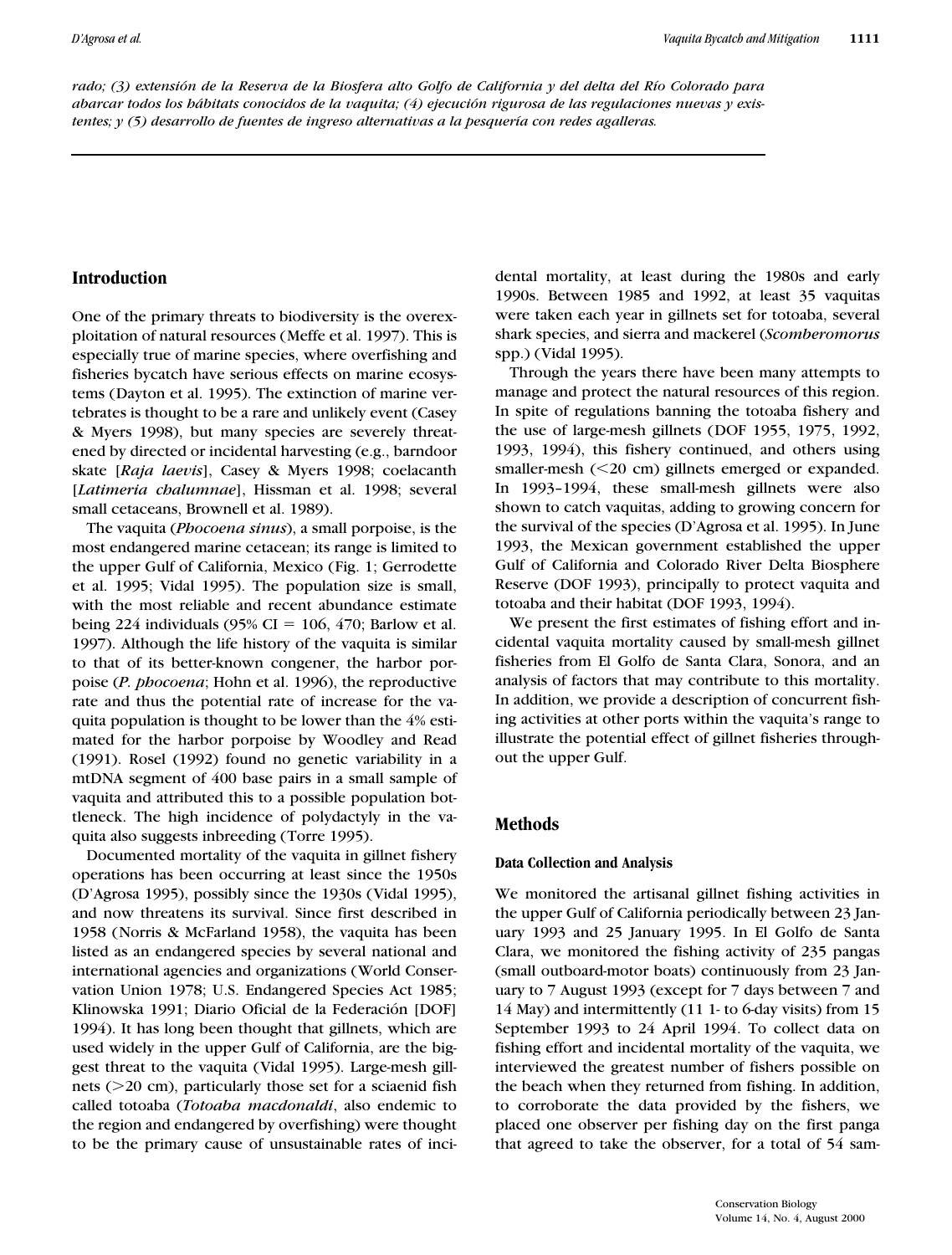*rado; (3) extensión de la Reserva de la Biosfera alto Golfo de California y del delta del Río Colorado para abarcar todos los hábitats conocidos de la vaquita; (4) ejecución rigurosa de las regulaciones nuevas y existentes; y (5) desarrollo de fuentes de ingreso alternativas a la pesquería con redes agalleras.*

## **Introduction**

One of the primary threats to biodiversity is the overexploitation of natural resources (Meffe et al. 1997). This is especially true of marine species, where overfishing and fisheries bycatch have serious effects on marine ecosystems (Dayton et al. 1995). The extinction of marine vertebrates is thought to be a rare and unlikely event (Casey & Myers 1998), but many species are severely threatened by directed or incidental harvesting (e.g., barndoor skate [*Raja laevis*], Casey & Myers 1998; coelacanth [*Latimeria chalumnae*], Hissman et al. 1998; several small cetaceans, Brownell et al. 1989).

The vaquita (*Phocoena sinus*), a small porpoise, is the most endangered marine cetacean; its range is limited to the upper Gulf of California, Mexico (Fig. 1; Gerrodette et al. 1995; Vidal 1995). The population size is small, with the most reliable and recent abundance estimate being 224 individuals (95% CI = 106, 470; Barlow et al. 1997). Although the life history of the vaquita is similar to that of its better-known congener, the harbor porpoise (*P. phocoena*; Hohn et al. 1996), the reproductive rate and thus the potential rate of increase for the vaquita population is thought to be lower than the 4% estimated for the harbor porpoise by Woodley and Read (1991). Rosel (1992) found no genetic variability in a mtDNA segment of 400 base pairs in a small sample of vaquita and attributed this to a possible population bottleneck. The high incidence of polydactyly in the vaquita also suggests inbreeding (Torre 1995).

Documented mortality of the vaquita in gillnet fishery operations has been occurring at least since the 1950s (D'Agrosa 1995), possibly since the 1930s (Vidal 1995), and now threatens its survival. Since first described in 1958 (Norris & McFarland 1958), the vaquita has been listed as an endangered species by several national and international agencies and organizations (World Conservation Union 1978; U.S. Endangered Species Act 1985; Klinowska 1991; Diario Oficial de la Federación [DOF] 1994). It has long been thought that gillnets, which are used widely in the upper Gulf of California, are the biggest threat to the vaquita (Vidal 1995). Large-mesh gillnets ( $>$ 20 cm), particularly those set for a sciaenid fish called totoaba (*Totoaba macdonaldi*, also endemic to the region and endangered by overfishing) were thought to be the primary cause of unsustainable rates of incidental mortality, at least during the 1980s and early 1990s. Between 1985 and 1992, at least 35 vaquitas were taken each year in gillnets set for totoaba, several shark species, and sierra and mackerel (*Scomberomorus* spp.) (Vidal 1995).

Through the years there have been many attempts to manage and protect the natural resources of this region. In spite of regulations banning the totoaba fishery and the use of large-mesh gillnets (DOF 1955, 1975, 1992, 1993, 1994), this fishery continued, and others using smaller-mesh  $( $20 \text{ cm}$ )$  gillnets emerged or expanded. In 1993–1994, these small-mesh gillnets were also shown to catch vaquitas, adding to growing concern for the survival of the species (D'Agrosa et al. 1995). In June 1993, the Mexican government established the upper Gulf of California and Colorado River Delta Biosphere Reserve (DOF 1993), principally to protect vaquita and totoaba and their habitat (DOF 1993, 1994).

We present the first estimates of fishing effort and incidental vaquita mortality caused by small-mesh gillnet fisheries from El Golfo de Santa Clara, Sonora, and an analysis of factors that may contribute to this mortality. In addition, we provide a description of concurrent fishing activities at other ports within the vaquita's range to illustrate the potential effect of gillnet fisheries throughout the upper Gulf.

# **Methods**

#### **Data Collection and Analysis**

We monitored the artisanal gillnet fishing activities in the upper Gulf of California periodically between 23 January 1993 and 25 January 1995. In El Golfo de Santa Clara, we monitored the fishing activity of 235 pangas (small outboard-motor boats) continuously from 23 January to 7 August 1993 (except for 7 days between 7 and 14 May) and intermittently (11 1- to 6-day visits) from 15 September 1993 to 24 April 1994. To collect data on fishing effort and incidental mortality of the vaquita, we interviewed the greatest number of fishers possible on the beach when they returned from fishing. In addition, to corroborate the data provided by the fishers, we placed one observer per fishing day on the first panga that agreed to take the observer, for a total of 54 sam-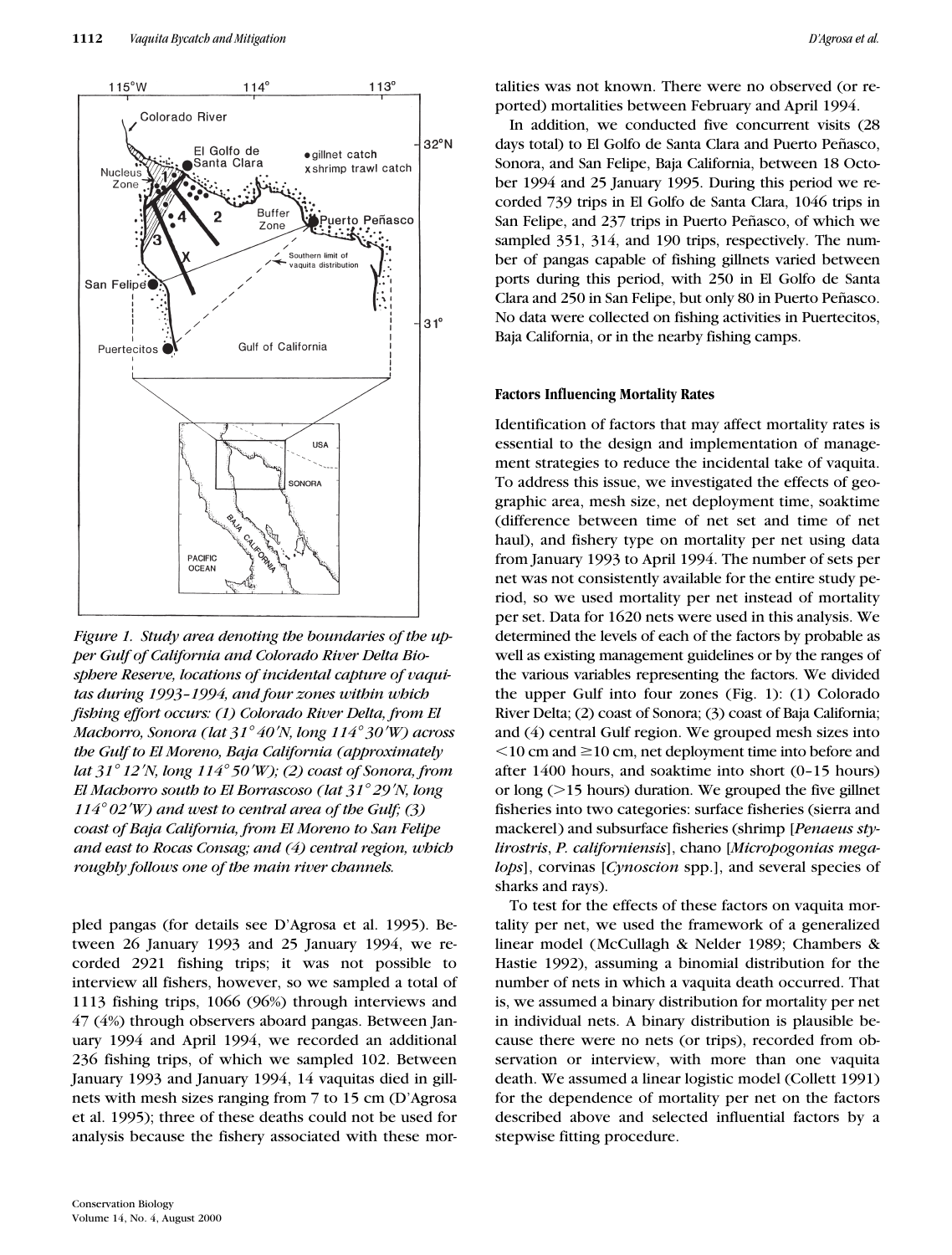

*Figure 1. Study area denoting the boundaries of the upper Gulf of California and Colorado River Delta Biosphere Reserve, locations of incidental capture of vaquitas during 1993–1994, and four zones within which fishing effort occurs: (1) Colorado River Delta, from El Machorro, Sonora (lat 31*8 *40*9*N, long 114*8 *30*9*W) across the Gulf to El Moreno, Baja California (approximately lat 31*8 *12*9*N, long 114*8 *50*9*W); (2) coast of Sonora, from El Machorro south to El Borrascoso (lat 31*8 *29*9*N, long*   $114^{\circ}$  02<sup>'</sup>W) and west to central area of the Gulf; (3) *coast of Baja California, from El Moreno to San Felipe and east to Rocas Consag; and (4) central region, which roughly follows one of the main river channels.*

pled pangas (for details see D'Agrosa et al. 1995). Between 26 January 1993 and 25 January 1994, we recorded 2921 fishing trips; it was not possible to interview all fishers, however, so we sampled a total of 1113 fishing trips, 1066 (96%) through interviews and 47 (4%) through observers aboard pangas. Between January 1994 and April 1994, we recorded an additional 236 fishing trips, of which we sampled 102. Between January 1993 and January 1994, 14 vaquitas died in gillnets with mesh sizes ranging from 7 to 15 cm (D'Agrosa et al. 1995); three of these deaths could not be used for analysis because the fishery associated with these mortalities was not known. There were no observed (or reported) mortalities between February and April 1994.

In addition, we conducted five concurrent visits (28 days total) to El Golfo de Santa Clara and Puerto Peñasco, Sonora, and San Felipe, Baja California, between 18 October 1994 and 25 January 1995. During this period we recorded 739 trips in El Golfo de Santa Clara, 1046 trips in San Felipe, and 237 trips in Puerto Peñasco, of which we sampled 351, 314, and 190 trips, respectively. The number of pangas capable of fishing gillnets varied between ports during this period, with 250 in El Golfo de Santa Clara and 250 in San Felipe, but only 80 in Puerto Peñasco. No data were collected on fishing activities in Puertecitos, Baja California, or in the nearby fishing camps.

## **Factors Influencing Mortality Rates**

Identification of factors that may affect mortality rates is essential to the design and implementation of management strategies to reduce the incidental take of vaquita. To address this issue, we investigated the effects of geographic area, mesh size, net deployment time, soaktime (difference between time of net set and time of net haul), and fishery type on mortality per net using data from January 1993 to April 1994. The number of sets per net was not consistently available for the entire study period, so we used mortality per net instead of mortality per set. Data for 1620 nets were used in this analysis. We determined the levels of each of the factors by probable as well as existing management guidelines or by the ranges of the various variables representing the factors. We divided the upper Gulf into four zones (Fig. 1): (1) Colorado River Delta; (2) coast of Sonora; (3) coast of Baja California; and (4) central Gulf region. We grouped mesh sizes into  $\leq$ 10 cm and  $\geq$ 10 cm, net deployment time into before and after 1400 hours, and soaktime into short (0–15 hours) or long  $(>15$  hours) duration. We grouped the five gillnet fisheries into two categories: surface fisheries (sierra and mackerel) and subsurface fisheries (shrimp [*Penaeus stylirostris*, *P. californiensis*], chano [*Micropogonias megalops*], corvinas [*Cynoscion* spp.], and several species of sharks and rays).

To test for the effects of these factors on vaquita mortality per net, we used the framework of a generalized linear model (McCullagh & Nelder 1989; Chambers & Hastie 1992), assuming a binomial distribution for the number of nets in which a vaquita death occurred. That is, we assumed a binary distribution for mortality per net in individual nets. A binary distribution is plausible because there were no nets (or trips), recorded from observation or interview, with more than one vaquita death. We assumed a linear logistic model (Collett 1991) for the dependence of mortality per net on the factors described above and selected influential factors by a stepwise fitting procedure.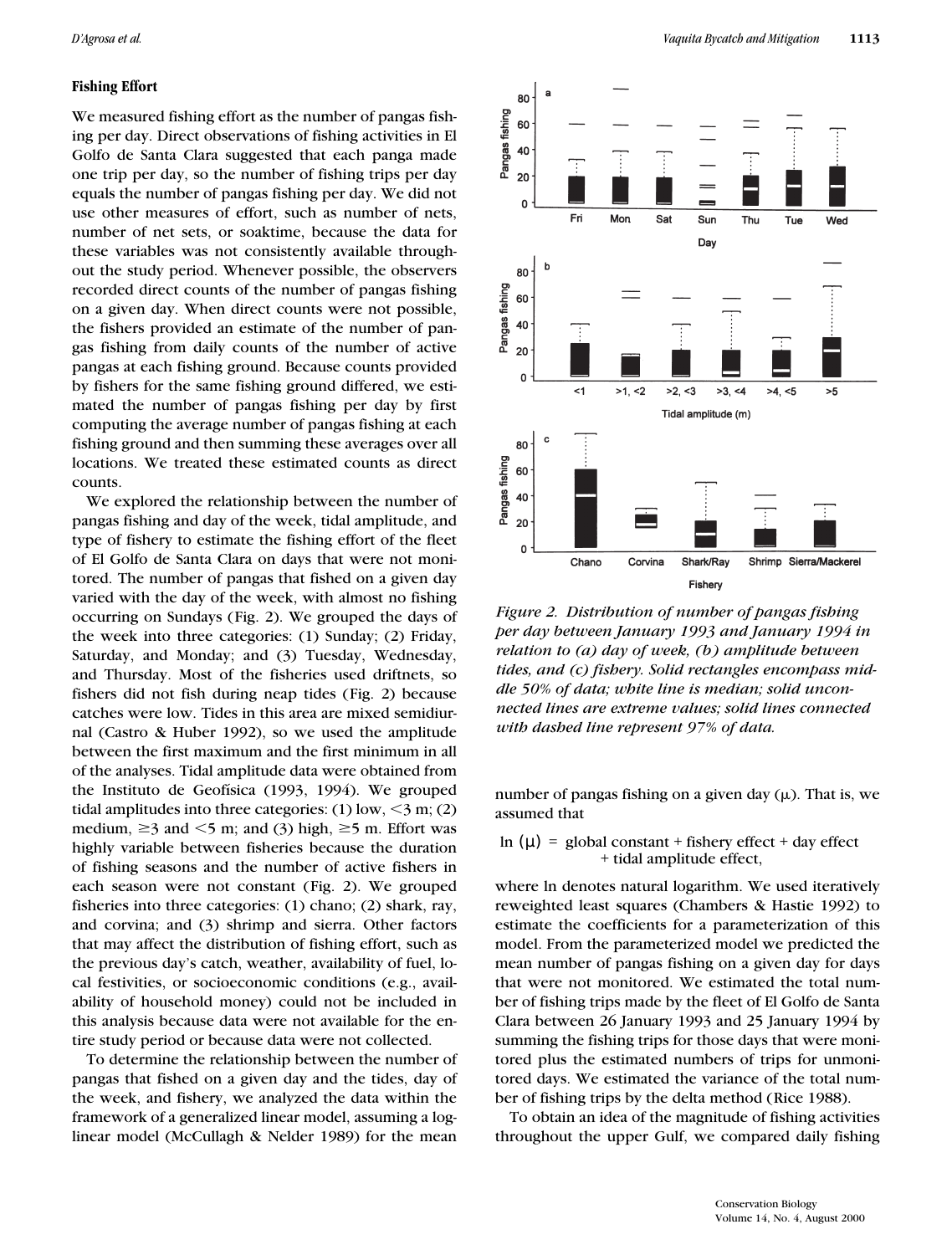## **Fishing Effort**

We measured fishing effort as the number of pangas fishing per day. Direct observations of fishing activities in El Golfo de Santa Clara suggested that each panga made one trip per day, so the number of fishing trips per day equals the number of pangas fishing per day. We did not use other measures of effort, such as number of nets, number of net sets, or soaktime, because the data for these variables was not consistently available throughout the study period. Whenever possible, the observers recorded direct counts of the number of pangas fishing on a given day. When direct counts were not possible, the fishers provided an estimate of the number of pangas fishing from daily counts of the number of active pangas at each fishing ground. Because counts provided by fishers for the same fishing ground differed, we estimated the number of pangas fishing per day by first computing the average number of pangas fishing at each fishing ground and then summing these averages over all locations. We treated these estimated counts as direct counts.

We explored the relationship between the number of pangas fishing and day of the week, tidal amplitude, and type of fishery to estimate the fishing effort of the fleet of El Golfo de Santa Clara on days that were not monitored. The number of pangas that fished on a given day varied with the day of the week, with almost no fishing occurring on Sundays (Fig. 2). We grouped the days of the week into three categories: (1) Sunday; (2) Friday, Saturday, and Monday; and (3) Tuesday, Wednesday, and Thursday. Most of the fisheries used driftnets, so fishers did not fish during neap tides (Fig. 2) because catches were low. Tides in this area are mixed semidiurnal (Castro & Huber 1992), so we used the amplitude between the first maximum and the first minimum in all of the analyses. Tidal amplitude data were obtained from the Instituto de Geofísica (1993, 1994). We grouped tidal amplitudes into three categories: (1) low,  $\leq$ 3 m; (2) medium,  $\geq$  3 and  $\leq$  5 m; and (3) high,  $\geq$  5 m. Effort was highly variable between fisheries because the duration of fishing seasons and the number of active fishers in each season were not constant (Fig. 2). We grouped fisheries into three categories: (1) chano; (2) shark, ray, and corvina; and (3) shrimp and sierra. Other factors that may affect the distribution of fishing effort, such as the previous day's catch, weather, availability of fuel, local festivities, or socioeconomic conditions (e.g., availability of household money) could not be included in this analysis because data were not available for the entire study period or because data were not collected.

To determine the relationship between the number of pangas that fished on a given day and the tides, day of the week, and fishery, we analyzed the data within the framework of a generalized linear model, assuming a loglinear model (McCullagh & Nelder 1989) for the mean



*Figure 2. Distribution of number of pangas fishing per day between January 1993 and January 1994 in relation to (a) day of week, (b) amplitude between tides, and (c) fishery. Solid rectangles encompass middle 50% of data; white line is median; solid unconnected lines are extreme values; solid lines connected with dashed line represent 97% of data.*

number of pangas fishing on a given day  $(\mu)$ . That is, we assumed that

 $\ln (\mu) =$  global constant + fishery effect + day effect + tidal amplitude effect,

where ln denotes natural logarithm. We used iteratively reweighted least squares (Chambers & Hastie 1992) to estimate the coefficients for a parameterization of this model. From the parameterized model we predicted the mean number of pangas fishing on a given day for days that were not monitored. We estimated the total number of fishing trips made by the fleet of El Golfo de Santa Clara between 26 January 1993 and 25 January 1994 by summing the fishing trips for those days that were monitored plus the estimated numbers of trips for unmonitored days. We estimated the variance of the total number of fishing trips by the delta method (Rice 1988).

To obtain an idea of the magnitude of fishing activities throughout the upper Gulf, we compared daily fishing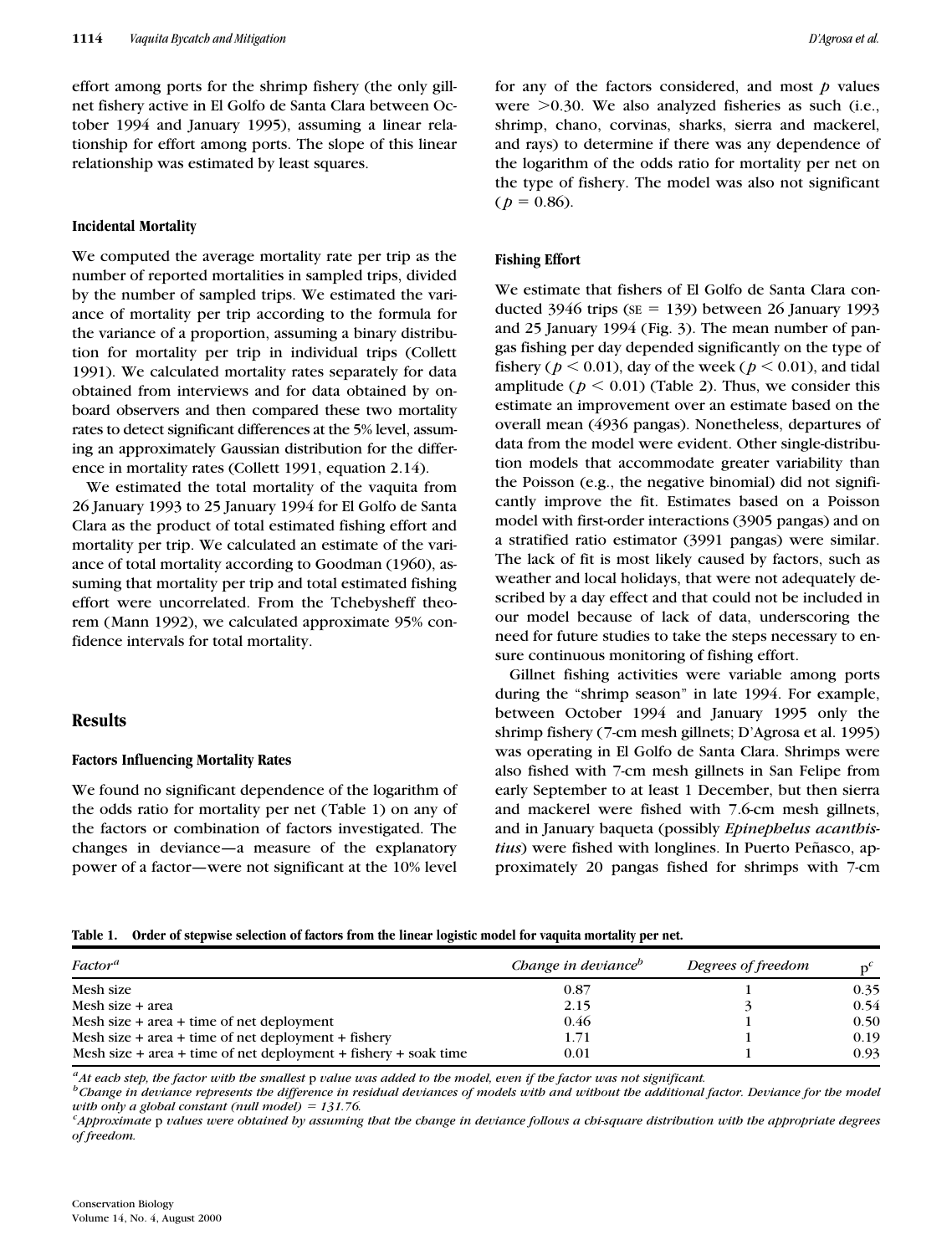effort among ports for the shrimp fishery (the only gillnet fishery active in El Golfo de Santa Clara between October 1994 and January 1995), assuming a linear relationship for effort among ports. The slope of this linear relationship was estimated by least squares.

## **Incidental Mortality**

We computed the average mortality rate per trip as the number of reported mortalities in sampled trips, divided by the number of sampled trips. We estimated the variance of mortality per trip according to the formula for the variance of a proportion, assuming a binary distribution for mortality per trip in individual trips (Collett 1991). We calculated mortality rates separately for data obtained from interviews and for data obtained by onboard observers and then compared these two mortality rates to detect significant differences at the 5% level, assuming an approximately Gaussian distribution for the difference in mortality rates (Collett 1991, equation 2.14).

We estimated the total mortality of the vaquita from 26 January 1993 to 25 January 1994 for El Golfo de Santa Clara as the product of total estimated fishing effort and mortality per trip. We calculated an estimate of the variance of total mortality according to Goodman (1960), assuming that mortality per trip and total estimated fishing effort were uncorrelated. From the Tchebysheff theorem (Mann 1992), we calculated approximate 95% confidence intervals for total mortality.

## **Results**

#### **Factors Influencing Mortality Rates**

We found no significant dependence of the logarithm of the odds ratio for mortality per net (Table 1) on any of the factors or combination of factors investigated. The changes in deviance—a measure of the explanatory power of a factor—were not significant at the 10% level for any of the factors considered, and most *p* values were  $>0.30$ . We also analyzed fisheries as such (i.e., shrimp, chano, corvinas, sharks, sierra and mackerel, and rays) to determine if there was any dependence of the logarithm of the odds ratio for mortality per net on the type of fishery. The model was also not significant  $(p = 0.86)$ .

## **Fishing Effort**

We estimate that fishers of El Golfo de Santa Clara conducted 3946 trips ( $SE = 139$ ) between 26 January 1993 and 25 January 1994 (Fig. 3). The mean number of pangas fishing per day depended significantly on the type of fishery ( $p < 0.01$ ), day of the week ( $p < 0.01$ ), and tidal amplitude ( $p < 0.01$ ) (Table 2). Thus, we consider this estimate an improvement over an estimate based on the overall mean (4936 pangas). Nonetheless, departures of data from the model were evident. Other single-distribution models that accommodate greater variability than the Poisson (e.g., the negative binomial) did not significantly improve the fit. Estimates based on a Poisson model with first-order interactions (3905 pangas) and on a stratified ratio estimator (3991 pangas) were similar. The lack of fit is most likely caused by factors, such as weather and local holidays, that were not adequately described by a day effect and that could not be included in our model because of lack of data, underscoring the need for future studies to take the steps necessary to ensure continuous monitoring of fishing effort.

Gillnet fishing activities were variable among ports during the "shrimp season" in late 1994. For example, between October 1994 and January 1995 only the shrimp fishery (7-cm mesh gillnets; D'Agrosa et al. 1995) was operating in El Golfo de Santa Clara. Shrimps were also fished with 7-cm mesh gillnets in San Felipe from early September to at least 1 December, but then sierra and mackerel were fished with 7.6-cm mesh gillnets, and in January baqueta (possibly *Epinephelus acanthistius*) were fished with longlines. In Puerto Peñasco, approximately 20 pangas fished for shrimps with 7-cm

**Table 1. Order of stepwise selection of factors from the linear logistic model for vaquita mortality per net.**

| Factor <sup>a</sup>                                             | Change in deviance <sup>b</sup> | Degrees of freedom | $n^{c}$ |  |
|-----------------------------------------------------------------|---------------------------------|--------------------|---------|--|
| Mesh size                                                       | 0.87                            |                    | 0.35    |  |
| Mesh size + area                                                | 2.15                            |                    | 0.54    |  |
| Mesh size $+$ area $+$ time of net deployment                   | 0.46                            |                    | 0.50    |  |
| Mesh size $+$ area $+$ time of net deployment $+$ fishery       | 1.71                            |                    | 0.19    |  |
| Mesh size + area + time of net deployment + fishery + soak time | 0.01                            |                    | 0.93    |  |

<sup>a</sup>At eacb step, the factor with the smallest p value was added to the model, even if the factor was not significant.<br><sup>b</sup>Change in deviance represents the difference in residual deviances of models with and without the add *with only a global constant (null model)* =  $131.76$ .

*Approximate* p *values were obtained by assuming that the change in deviance follows a chi-square distribution with the appropriate degrees of freedom.*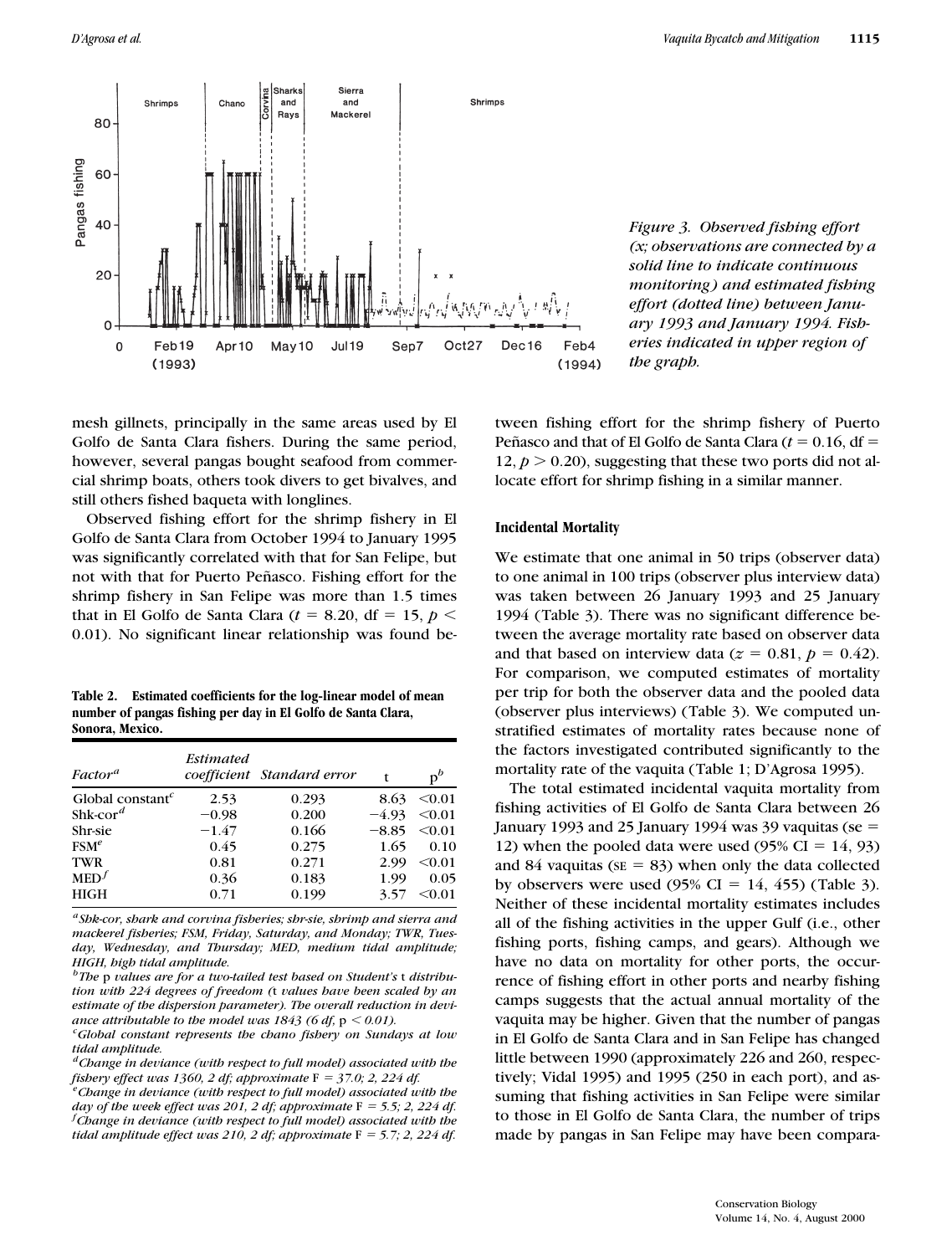

mesh gillnets, principally in the same areas used by El Golfo de Santa Clara fishers. During the same period, however, several pangas bought seafood from commercial shrimp boats, others took divers to get bivalves, and still others fished baqueta with longlines.

Observed fishing effort for the shrimp fishery in El Golfo de Santa Clara from October 1994 to January 1995 was significantly correlated with that for San Felipe, but not with that for Puerto Peñasco. Fishing effort for the shrimp fishery in San Felipe was more than 1.5 times that in El Golfo de Santa Clara ( $t = 8.20$ , df = 15,  $p <$ 0.01). No significant linear relationship was found be-

**Table 2. Estimated coefficients for the log-linear model of mean number of pangas fishing per day in El Golfo de Santa Clara, Sonora, Mexico.**

| Factor <sup>a</sup>                       | <i>Estimated</i> | coefficient Standard error |         |        |
|-------------------------------------------|------------------|----------------------------|---------|--------|
| Global constant <sup><math>c</math></sup> | 2.53             | 0.293                      | 8.63    | < 0.01 |
| $Shk\text{-cor}^d$                        | $-0.98$          | 0.200                      | $-4.93$ | < 0.01 |
| Shr-sie                                   | $-1.47$          | 0.166                      | $-8.85$ | < 0.01 |
| FSM <sup>e</sup>                          | 0.45             | 0.275                      | 1.65    | 0.10   |
| <b>TWR</b>                                | 0.81             | 0.271                      | 2.99    | < 0.01 |
| $\text{MED}^f$                            | 0.36             | 0.183                      | 1.99    | 0.05   |
| <b>HIGH</b>                               | 0.71             | 0.199                      | 3.57    | < 0.01 |

*aShk-cor, shark and corvina fisheries; shr-sie, shrimp and sierra and mackerel fisheries; FSM, Friday, Saturday, and Monday; TWR, Tuesday, Wednesday, and Thursday; MED, medium tidal amplitude; HIGH, high tidal amplitude.*

*bThe* p *values are for a two-tailed test based on Student's* t *distribution with 224 degrees of freedom (*t *values have been scaled by an estimate of the dispersion parameter). The overall reduction in deviance attributable to the model was 1843 (6 df, p < 0.01).* 

*Global constant represents the chano fishery on Sundays at low tidal amplitude.*

*dChange in deviance (with respect to full model) associated with the fishery effect was 1360, 2 df; approximate*  $F = 37.0; 2, 224$  *df.* 

*Change in deviance (with respect to full model) associated with the day of the week effect was 201, 2 df; approximate*  $F = 5.5$ ; 2, 224 df. *f Change in deviance (with respect to full model) associated with the tidal amplitude effect was 210, 2 df; approximate*  $F = 5.7$ ; 2, 224 df. *Figure 3. Observed fishing effort (x; observations are connected by a solid line to indicate continuous monitoring) and estimated fishing effort (dotted line) between January 1993 and January 1994. Fisheries indicated in upper region of the graph.*

tween fishing effort for the shrimp fishery of Puerto Peñasco and that of El Golfo de Santa Clara ( $t = 0.16$ , df = 12,  $p > 0.20$ , suggesting that these two ports did not allocate effort for shrimp fishing in a similar manner.

#### **Incidental Mortality**

We estimate that one animal in 50 trips (observer data) to one animal in 100 trips (observer plus interview data) was taken between 26 January 1993 and 25 January 1994 (Table 3). There was no significant difference between the average mortality rate based on observer data and that based on interview data ( $z = 0.81$ ,  $p = 0.42$ ). For comparison, we computed estimates of mortality per trip for both the observer data and the pooled data (observer plus interviews) (Table 3). We computed unstratified estimates of mortality rates because none of the factors investigated contributed significantly to the mortality rate of the vaquita (Table 1; D'Agrosa 1995).

The total estimated incidental vaquita mortality from fishing activities of El Golfo de Santa Clara between 26 January 1993 and 25 January 1994 was 39 vaquitas (se  $=$ 12) when the pooled data were used (95% CI =  $14, 93$ ) and 84 vaquitas ( $SE = 83$ ) when only the data collected by observers were used  $(95\% \text{ CI} = 14, 455)$  (Table 3). Neither of these incidental mortality estimates includes all of the fishing activities in the upper Gulf (i.e., other fishing ports, fishing camps, and gears). Although we have no data on mortality for other ports, the occurrence of fishing effort in other ports and nearby fishing camps suggests that the actual annual mortality of the vaquita may be higher. Given that the number of pangas in El Golfo de Santa Clara and in San Felipe has changed little between 1990 (approximately 226 and 260, respectively; Vidal 1995) and 1995 (250 in each port), and assuming that fishing activities in San Felipe were similar to those in El Golfo de Santa Clara, the number of trips made by pangas in San Felipe may have been compara-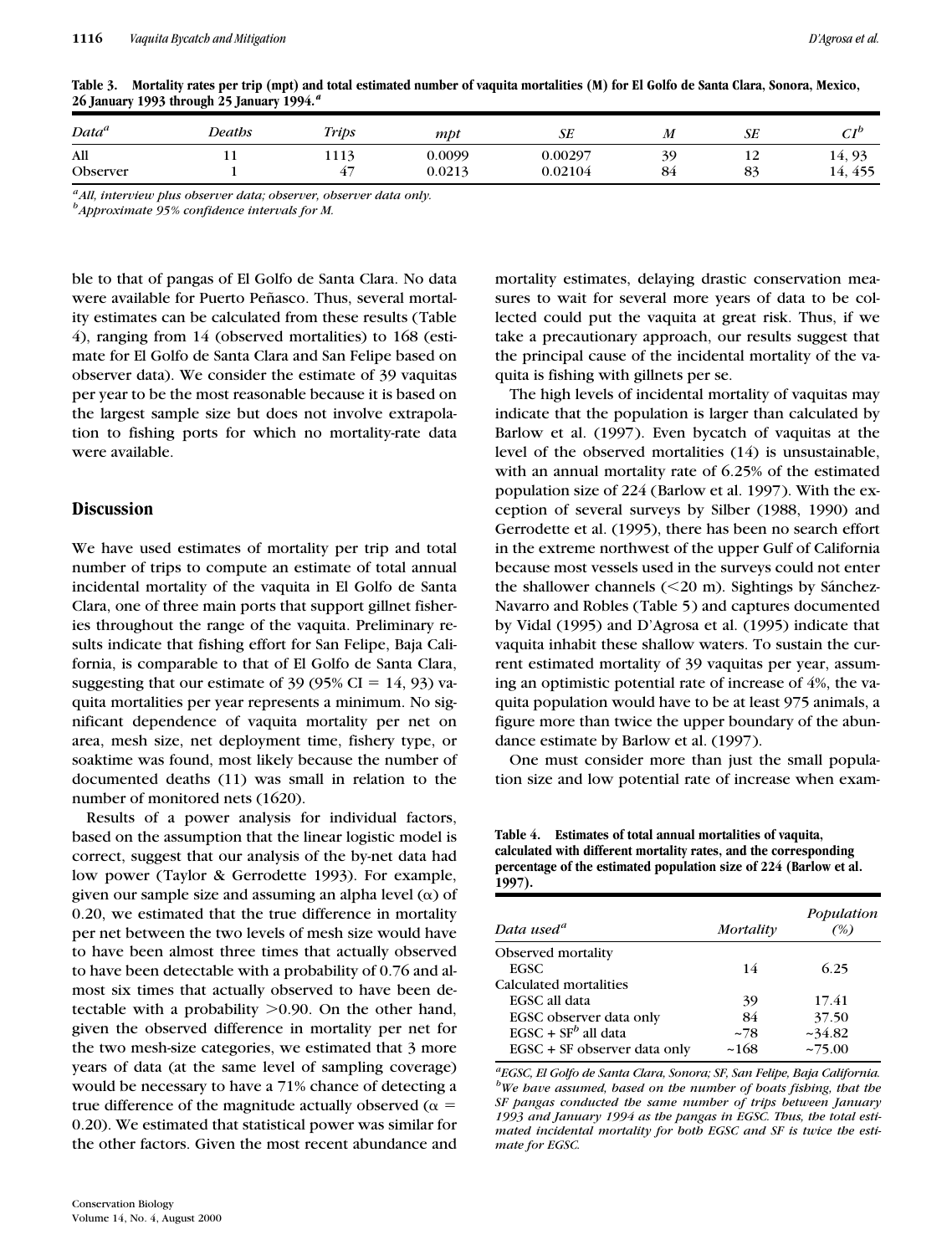**Table 3. Mortality rates per trip (mpt) and total estimated number of vaquita mortalities (M) for El Golfo de Santa Clara, Sonora, Mexico, 26 January 1993 through 25 January 1994***. a*

| Data <sup>a</sup> | <b>Deaths</b> | Trips      | mpt              | $\sim$ $\sim$<br>ðЕ | M             | SЕ                                      | $\mathcal{C}I^b$<br>u |
|-------------------|---------------|------------|------------------|---------------------|---------------|-----------------------------------------|-----------------------|
| All<br>Observer   | . .           | 1112<br>л. | 0.0099<br>0.0213 | 0.00297<br>0.02104  | 39<br>╯<br>84 | $\overline{1}$<br>Q <sub>2</sub><br>OC. | 14, 93<br>455<br>14,  |

*aAll, interview plus observer data; observer, observer data only.*

*bApproximate 95% confidence intervals for M.*

ble to that of pangas of El Golfo de Santa Clara. No data were available for Puerto Peñasco. Thus, several mortality estimates can be calculated from these results (Table 4), ranging from 14 (observed mortalities) to 168 (estimate for El Golfo de Santa Clara and San Felipe based on observer data). We consider the estimate of 39 vaquitas per year to be the most reasonable because it is based on the largest sample size but does not involve extrapolation to fishing ports for which no mortality-rate data were available.

## **Discussion**

We have used estimates of mortality per trip and total number of trips to compute an estimate of total annual incidental mortality of the vaquita in El Golfo de Santa Clara, one of three main ports that support gillnet fisheries throughout the range of the vaquita. Preliminary results indicate that fishing effort for San Felipe, Baja California, is comparable to that of El Golfo de Santa Clara, suggesting that our estimate of 39 (95% CI = 14, 93) vaquita mortalities per year represents a minimum. No significant dependence of vaquita mortality per net on area, mesh size, net deployment time, fishery type, or soaktime was found, most likely because the number of documented deaths (11) was small in relation to the number of monitored nets (1620).

Results of a power analysis for individual factors, based on the assumption that the linear logistic model is correct, suggest that our analysis of the by-net data had low power (Taylor & Gerrodette 1993). For example, given our sample size and assuming an alpha level  $(\alpha)$  of 0.20, we estimated that the true difference in mortality per net between the two levels of mesh size would have to have been almost three times that actually observed to have been detectable with a probability of 0.76 and almost six times that actually observed to have been detectable with a probability  $>0.90$ . On the other hand, given the observed difference in mortality per net for the two mesh-size categories, we estimated that 3 more years of data (at the same level of sampling coverage) would be necessary to have a 71% chance of detecting a true difference of the magnitude actually observed ( $\alpha =$ 0.20). We estimated that statistical power was similar for the other factors. Given the most recent abundance and

mortality estimates, delaying drastic conservation measures to wait for several more years of data to be collected could put the vaquita at great risk. Thus, if we take a precautionary approach, our results suggest that the principal cause of the incidental mortality of the vaquita is fishing with gillnets per se.

The high levels of incidental mortality of vaquitas may indicate that the population is larger than calculated by Barlow et al. (1997). Even bycatch of vaquitas at the level of the observed mortalities (14) is unsustainable, with an annual mortality rate of 6.25% of the estimated population size of 224 (Barlow et al. 1997). With the exception of several surveys by Silber (1988, 1990) and Gerrodette et al. (1995), there has been no search effort in the extreme northwest of the upper Gulf of California because most vessels used in the surveys could not enter the shallower channels  $(<$  20 m). Sightings by Sánchez-Navarro and Robles (Table 5) and captures documented by Vidal (1995) and D'Agrosa et al. (1995) indicate that vaquita inhabit these shallow waters. To sustain the current estimated mortality of 39 vaquitas per year, assuming an optimistic potential rate of increase of 4%, the vaquita population would have to be at least 975 animals, a figure more than twice the upper boundary of the abundance estimate by Barlow et al. (1997).

One must consider more than just the small population size and low potential rate of increase when exam-

**Table 4. Estimates of total annual mortalities of vaquita, calculated with different mortality rates, and the corresponding percentage of the estimated population size of 224 (Barlow et al. 1997).**

| Data used <sup>a</sup>       | Mortality | Population<br>(%) |
|------------------------------|-----------|-------------------|
| Observed mortality           |           |                   |
| <b>EGSC</b>                  | 14        | 6.25              |
| Calculated mortalities       |           |                   |
| EGSC all data                | 39        | 17.41             |
| EGSC observer data only      | 84        | 37.50             |
| $EGSC + SF^b$ all data       | $~10-78$  | ~234.82           |
| EGSC + SF observer data only | ~168      | ~275.00           |

*a EGSC, El Golfo de Santa Clara, Sonora; SF, San Felipe, Baja California. b We have assumed, based on the number of boats fishing, that the SF pangas conducted the same number of trips between January 1993 and January 1994 as the pangas in EGSC. Thus, the total estimated incidental mortality for both EGSC and SF is twice the estimate for EGSC.*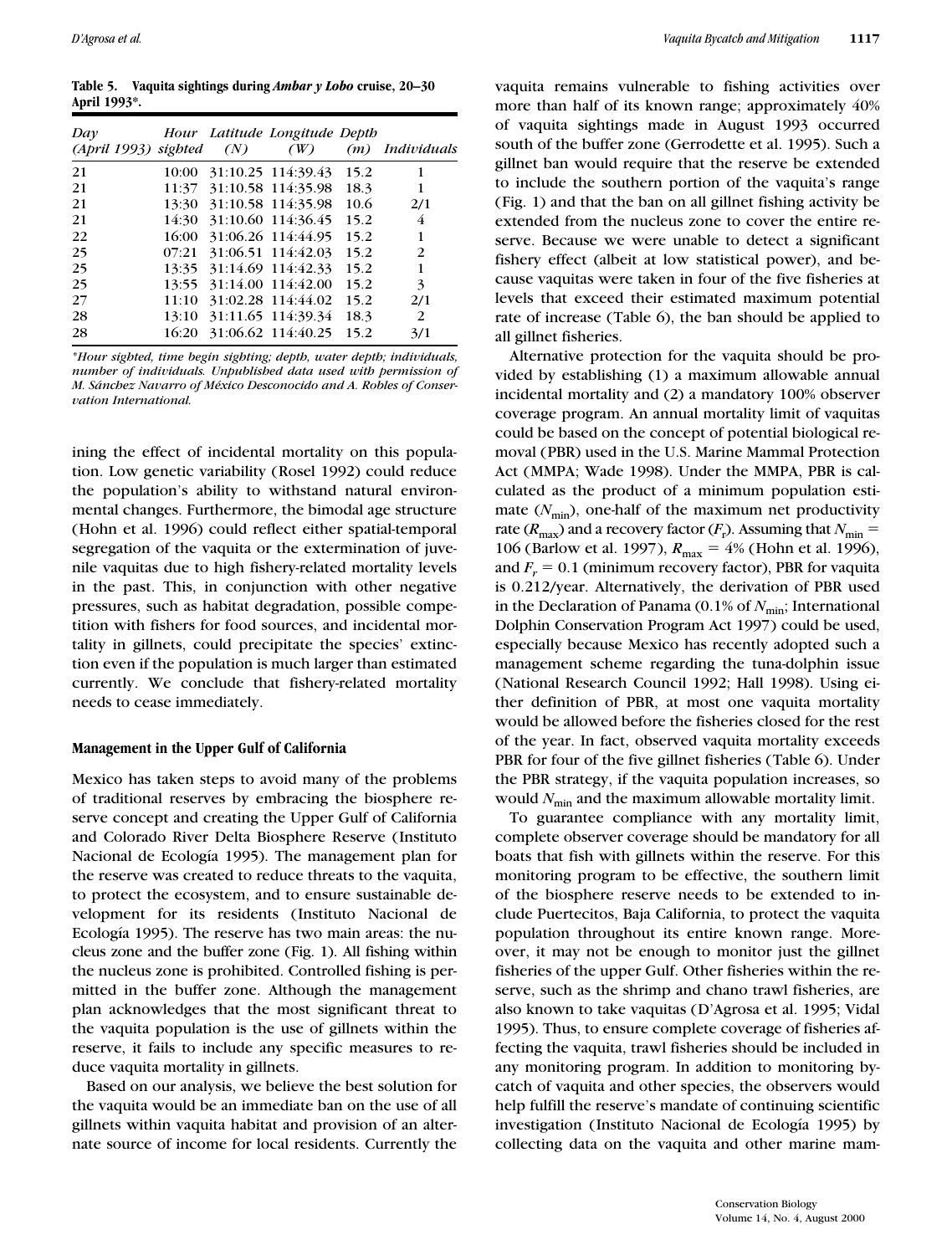**Table 5. Vaquita sightings during** *Ambar y Lobo* **cruise, 20–30 April 1993\*.**

| Day<br>(April 1993) sighted |       | (N) | Hour Latitude Longitude Depth<br>(W) |      | ( <i>m</i> ) Individuals |
|-----------------------------|-------|-----|--------------------------------------|------|--------------------------|
| 21                          | 10:00 |     | 31:10.25 114:39.43                   | 15.2 | 1                        |
| 21                          | 11:37 |     | 31:10.58 114:35.98                   | 18.3 | 1                        |
| 21                          |       |     | 13:30 31:10.58 114:35.98             | 10.6 | 2/1                      |
| 21                          |       |     | 14:30 31:10.60 114:36.45             | 15.2 | 4                        |
| 22                          |       |     | 16:00 31:06.26 114:44.95             | 15.2 | 1                        |
| 25                          | 07:21 |     | 31:06.51 114:42.03                   | 15.2 | 2                        |
| 25                          |       |     | 13:35 31:14.69 114:42.33             | 15.2 | 1                        |
| 25                          | 13:55 |     | 31:14.00 114:42.00                   | 15.2 | 3                        |
| 27                          | 11:10 |     | 31:02.28 114:44.02                   | 15.2 | 2/1                      |
| 28                          |       |     | 13:10 31:11.65 114:39.34             | 18.3 | 2                        |
| 28                          | 16:20 |     | 31:06.62 114:40.25                   | 15.2 | 3/1                      |

\**Hour sighted, time begin sighting; depth, water depth; individuals, number of individuals. Unpublished data used with permission of M. Sánchez Navarro of México Desconocido and A. Robles of Conservation International.*

ining the effect of incidental mortality on this population. Low genetic variability (Rosel 1992) could reduce the population's ability to withstand natural environmental changes. Furthermore, the bimodal age structure (Hohn et al. 1996) could reflect either spatial-temporal segregation of the vaquita or the extermination of juvenile vaquitas due to high fishery-related mortality levels in the past. This, in conjunction with other negative pressures, such as habitat degradation, possible competition with fishers for food sources, and incidental mortality in gillnets, could precipitate the species' extinction even if the population is much larger than estimated currently. We conclude that fishery-related mortality needs to cease immediately.

#### **Management in the Upper Gulf of California**

Mexico has taken steps to avoid many of the problems of traditional reserves by embracing the biosphere reserve concept and creating the Upper Gulf of California and Colorado River Delta Biosphere Reserve (Instituto Nacional de Ecología 1995). The management plan for the reserve was created to reduce threats to the vaquita, to protect the ecosystem, and to ensure sustainable development for its residents (Instituto Nacional de Ecología 1995). The reserve has two main areas: the nucleus zone and the buffer zone (Fig. 1). All fishing within the nucleus zone is prohibited. Controlled fishing is permitted in the buffer zone. Although the management plan acknowledges that the most significant threat to the vaquita population is the use of gillnets within the reserve, it fails to include any specific measures to reduce vaquita mortality in gillnets.

Based on our analysis, we believe the best solution for the vaquita would be an immediate ban on the use of all gillnets within vaquita habitat and provision of an alternate source of income for local residents. Currently the

vaquita remains vulnerable to fishing activities over more than half of its known range; approximately 40% of vaquita sightings made in August 1993 occurred south of the buffer zone (Gerrodette et al. 1995). Such a gillnet ban would require that the reserve be extended to include the southern portion of the vaquita's range (Fig. 1) and that the ban on all gillnet fishing activity be extended from the nucleus zone to cover the entire reserve. Because we were unable to detect a significant fishery effect (albeit at low statistical power), and because vaquitas were taken in four of the five fisheries at levels that exceed their estimated maximum potential rate of increase (Table 6), the ban should be applied to all gillnet fisheries.

Alternative protection for the vaquita should be provided by establishing (1) a maximum allowable annual incidental mortality and (2) a mandatory 100% observer coverage program. An annual mortality limit of vaquitas could be based on the concept of potential biological removal (PBR) used in the U.S. Marine Mammal Protection Act (MMPA; Wade 1998). Under the MMPA, PBR is calculated as the product of a minimum population estimate  $(N_{\text{min}})$ , one-half of the maximum net productivity rate  $(R_{\text{max}})$  and a recovery factor  $(F_r)$ . Assuming that  $N_{\text{min}} =$ 106 (Barlow et al. 1997),  $R_{\text{max}} = 4\%$  (Hohn et al. 1996), and  $F_r = 0.1$  (minimum recovery factor), PBR for vaquita is 0.212/year. Alternatively, the derivation of PBR used in the Declaration of Panama (0.1% of  $N_{\text{min}}$ ; International Dolphin Conservation Program Act 1997) could be used, especially because Mexico has recently adopted such a management scheme regarding the tuna-dolphin issue (National Research Council 1992; Hall 1998). Using either definition of PBR, at most one vaquita mortality would be allowed before the fisheries closed for the rest of the year. In fact, observed vaquita mortality exceeds PBR for four of the five gillnet fisheries (Table 6). Under the PBR strategy, if the vaquita population increases, so would  $N_{\text{min}}$  and the maximum allowable mortality limit.

To guarantee compliance with any mortality limit, complete observer coverage should be mandatory for all boats that fish with gillnets within the reserve. For this monitoring program to be effective, the southern limit of the biosphere reserve needs to be extended to include Puertecitos, Baja California, to protect the vaquita population throughout its entire known range. Moreover, it may not be enough to monitor just the gillnet fisheries of the upper Gulf. Other fisheries within the reserve, such as the shrimp and chano trawl fisheries, are also known to take vaquitas (D'Agrosa et al. 1995; Vidal 1995). Thus, to ensure complete coverage of fisheries affecting the vaquita, trawl fisheries should be included in any monitoring program. In addition to monitoring bycatch of vaquita and other species, the observers would help fulfill the reserve's mandate of continuing scientific investigation (Instituto Nacional de Ecología 1995) by collecting data on the vaquita and other marine mam-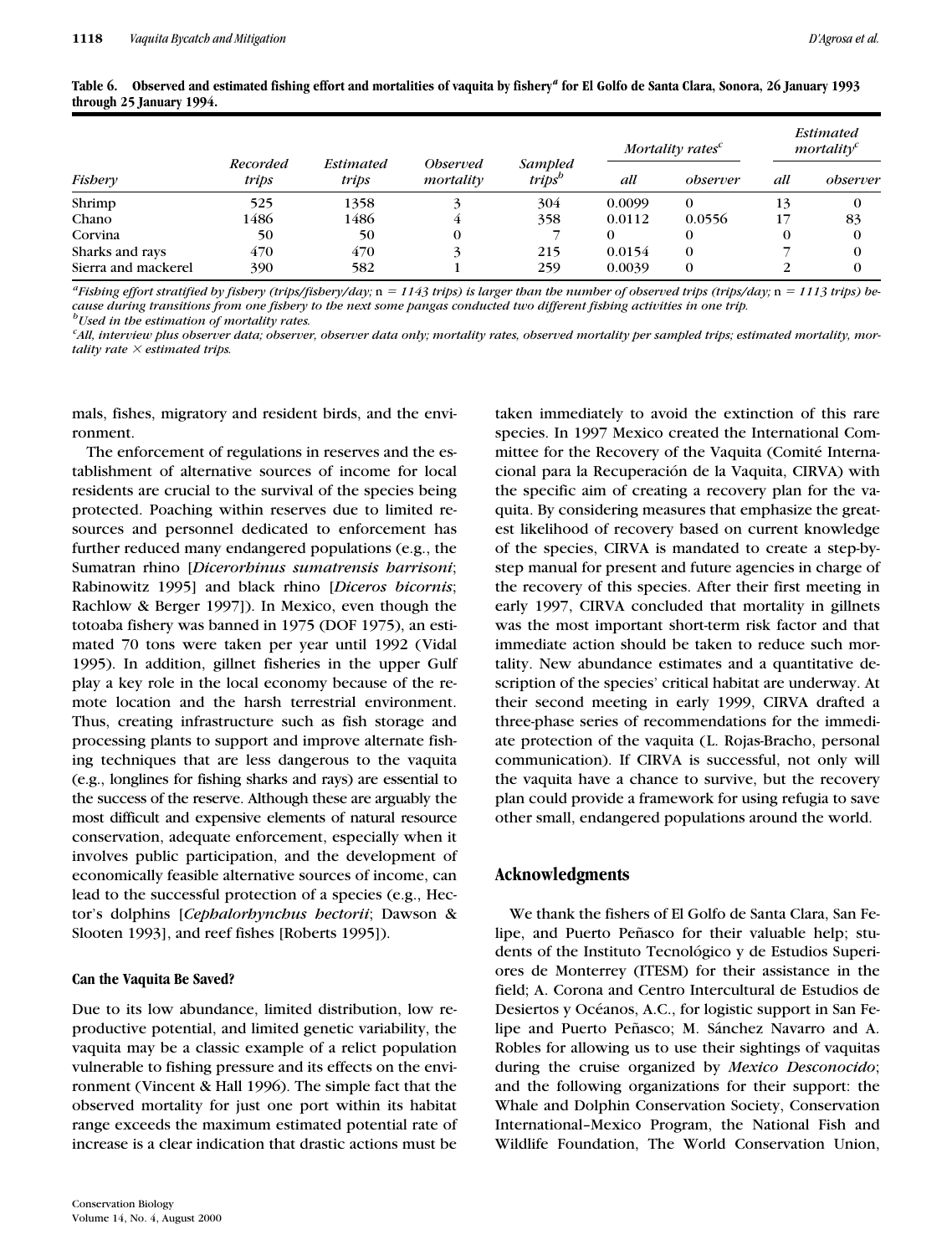| Table 6. Observed and estimated fishing effort and mortalities of vaquita by fishery <sup>a</sup> for El Golfo de Santa Clara, Sonora, 26 January 1993 |
|--------------------------------------------------------------------------------------------------------------------------------------------------------|
| through 25 January 1994.                                                                                                                               |

| Fishery             |                   |                           |                       | Sampled<br>$trips^b$ | Mortality rates <sup>c</sup> |          | <b>Estimated</b><br>$mortality^c$ |          |
|---------------------|-------------------|---------------------------|-----------------------|----------------------|------------------------------|----------|-----------------------------------|----------|
|                     | Recorded<br>trips | <b>Estimated</b><br>trips | Observed<br>mortality |                      | all                          | observer | all                               | observer |
| Shrimp              | 525               | 1358                      |                       | 304                  | 0.0099                       | $\Omega$ | 13                                |          |
| Chano               | 1486              | 1486                      | 4                     | 358                  | 0.0112                       | 0.0556   | 17                                | 83       |
| Corvina             | 50                | 50                        | 0                     |                      | 0                            |          | 0                                 | 0        |
| Sharks and rays     | 470               | 470                       | 3                     | 215                  | 0.0154                       | 0        |                                   | 0        |
| Sierra and mackerel | 390               | 582                       |                       | 259                  | 0.0039                       | 0        | 2                                 |          |

*aFishing effort stratified by fishery (trips/fishery/day;* n <sup>5</sup> *1143 trips) is larger than the number of observed trips (trips/day;* n <sup>5</sup> *1113 trips) because during transitions from one fishery to the next some pangas conducted two different fishing activities in one trip. b Used in the estimation of mortality rates.*

*c All, interview plus observer data; observer, observer data only; mortality rates, observed mortality per sampled trips; estimated mortality, mortality rate*  $\times$  *estimated trips.* 

mals, fishes, migratory and resident birds, and the environment.

The enforcement of regulations in reserves and the establishment of alternative sources of income for local residents are crucial to the survival of the species being protected. Poaching within reserves due to limited resources and personnel dedicated to enforcement has further reduced many endangered populations (e.g., the Sumatran rhino [*Dicerorhinus sumatrensis harrisoni*; Rabinowitz 1995] and black rhino [*Diceros bicornis*; Rachlow & Berger 1997]). In Mexico, even though the totoaba fishery was banned in 1975 (DOF 1975), an estimated 70 tons were taken per year until 1992 (Vidal 1995). In addition, gillnet fisheries in the upper Gulf play a key role in the local economy because of the remote location and the harsh terrestrial environment. Thus, creating infrastructure such as fish storage and processing plants to support and improve alternate fishing techniques that are less dangerous to the vaquita (e.g., longlines for fishing sharks and rays) are essential to the success of the reserve. Although these are arguably the most difficult and expensive elements of natural resource conservation, adequate enforcement, especially when it involves public participation, and the development of economically feasible alternative sources of income, can lead to the successful protection of a species (e.g., Hector's dolphins [*Cephalorhynchus hectorii*; Dawson & Slooten 1993], and reef fishes [Roberts 1995]).

#### **Can the Vaquita Be Saved?**

Due to its low abundance, limited distribution, low reproductive potential, and limited genetic variability, the vaquita may be a classic example of a relict population vulnerable to fishing pressure and its effects on the environment (Vincent & Hall 1996). The simple fact that the observed mortality for just one port within its habitat range exceeds the maximum estimated potential rate of increase is a clear indication that drastic actions must be

taken immediately to avoid the extinction of this rare species. In 1997 Mexico created the International Committee for the Recovery of the Vaquita (Comité Internacional para la Recuperación de la Vaquita, CIRVA) with the specific aim of creating a recovery plan for the vaquita. By considering measures that emphasize the greatest likelihood of recovery based on current knowledge of the species, CIRVA is mandated to create a step-bystep manual for present and future agencies in charge of the recovery of this species. After their first meeting in early 1997, CIRVA concluded that mortality in gillnets was the most important short-term risk factor and that immediate action should be taken to reduce such mortality. New abundance estimates and a quantitative description of the species' critical habitat are underway. At their second meeting in early 1999, CIRVA drafted a three-phase series of recommendations for the immediate protection of the vaquita (L. Rojas-Bracho, personal communication). If CIRVA is successful, not only will the vaquita have a chance to survive, but the recovery plan could provide a framework for using refugia to save other small, endangered populations around the world.

# **Acknowledgments**

We thank the fishers of El Golfo de Santa Clara, San Felipe, and Puerto Peñasco for their valuable help; students of the Instituto Tecnológico y de Estudios Superiores de Monterrey (ITESM) for their assistance in the field; A. Corona and Centro Intercultural de Estudios de Desiertos y Océanos, A.C., for logistic support in San Felipe and Puerto Peñasco; M. Sánchez Navarro and A. Robles for allowing us to use their sightings of vaquitas during the cruise organized by *Mexico Desconocido*; and the following organizations for their support: the Whale and Dolphin Conservation Society, Conservation International–Mexico Program, the National Fish and Wildlife Foundation, The World Conservation Union,